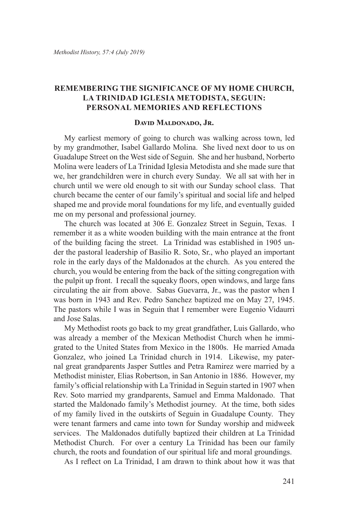## **Remembering the Significance of My Home Church, La Trinidad Iglesia Metodista, Seguin: Personal Memories and Reflections**

## **David Maldonado, Jr.**

My earliest memory of going to church was walking across town, led by my grandmother, Isabel Gallardo Molina. She lived next door to us on Guadalupe Street on the West side of Seguin. She and her husband, Norberto Molina were leaders of La Trinidad Iglesia Metodista and she made sure that we, her grandchildren were in church every Sunday. We all sat with her in church until we were old enough to sit with our Sunday school class. That church became the center of our family's spiritual and social life and helped shaped me and provide moral foundations for my life, and eventually guided me on my personal and professional journey.

The church was located at 306 E. Gonzalez Street in Seguin, Texas. I remember it as a white wooden building with the main entrance at the front of the building facing the street. La Trinidad was established in 1905 under the pastoral leadership of Basilio R. Soto, Sr., who played an important role in the early days of the Maldonados at the church. As you entered the church, you would be entering from the back of the sitting congregation with the pulpit up front. I recall the squeaky floors, open windows, and large fans circulating the air from above. Sabas Guevarra, Jr., was the pastor when I was born in 1943 and Rev. Pedro Sanchez baptized me on May 27, 1945. The pastors while I was in Seguin that I remember were Eugenio Vidaurri and Jose Salas.

My Methodist roots go back to my great grandfather, Luis Gallardo, who was already a member of the Mexican Methodist Church when he immigrated to the United States from Mexico in the 1800s. He married Amada Gonzalez, who joined La Trinidad church in 1914. Likewise, my paternal great grandparents Jasper Suttles and Petra Ramirez were married by a Methodist minister, Elias Robertson, in San Antonio in 1886. However, my family's official relationship with La Trinidad in Seguin started in 1907 when Rev. Soto married my grandparents, Samuel and Emma Maldonado. That started the Maldonado family's Methodist journey. At the time, both sides of my family lived in the outskirts of Seguin in Guadalupe County. They were tenant farmers and came into town for Sunday worship and midweek services. The Maldonados dutifully baptized their children at La Trinidad Methodist Church. For over a century La Trinidad has been our family church, the roots and foundation of our spiritual life and moral groundings.

As I reflect on La Trinidad, I am drawn to think about how it was that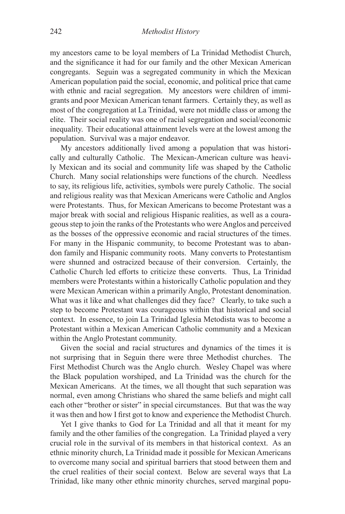my ancestors came to be loyal members of La Trinidad Methodist Church, and the significance it had for our family and the other Mexican American congregants. Seguin was a segregated community in which the Mexican American population paid the social, economic, and political price that came with ethnic and racial segregation. My ancestors were children of immigrants and poor Mexican American tenant farmers. Certainly they, as well as most of the congregation at La Trinidad, were not middle class or among the elite. Their social reality was one of racial segregation and social/economic inequality. Their educational attainment levels were at the lowest among the population. Survival was a major endeavor.

My ancestors additionally lived among a population that was historically and culturally Catholic. The Mexican-American culture was heavily Mexican and its social and community life was shaped by the Catholic Church. Many social relationships were functions of the church. Needless to say, its religious life, activities, symbols were purely Catholic. The social and religious reality was that Mexican Americans were Catholic and Anglos were Protestants. Thus, for Mexican Americans to become Protestant was a major break with social and religious Hispanic realities, as well as a courageous step to join the ranks of the Protestants who were Anglos and perceived as the bosses of the oppressive economic and racial structures of the times. For many in the Hispanic community, to become Protestant was to abandon family and Hispanic community roots. Many converts to Protestantism were shunned and ostracized because of their conversion. Certainly, the Catholic Church led efforts to criticize these converts. Thus, La Trinidad members were Protestants within a historically Catholic population and they were Mexican American within a primarily Anglo, Protestant denomination. What was it like and what challenges did they face? Clearly, to take such a step to become Protestant was courageous within that historical and social context. In essence, to join La Trinidad Iglesia Metodista was to become a Protestant within a Mexican American Catholic community and a Mexican within the Anglo Protestant community.

Given the social and racial structures and dynamics of the times it is not surprising that in Seguin there were three Methodist churches. The First Methodist Church was the Anglo church. Wesley Chapel was where the Black population worshiped, and La Trinidad was the church for the Mexican Americans. At the times, we all thought that such separation was normal, even among Christians who shared the same beliefs and might call each other "brother or sister" in special circumstances. But that was the way it was then and how I first got to know and experience the Methodist Church.

Yet I give thanks to God for La Trinidad and all that it meant for my family and the other families of the congregation. La Trinidad played a very crucial role in the survival of its members in that historical context. As an ethnic minority church, La Trinidad made it possible for Mexican Americans to overcome many social and spiritual barriers that stood between them and the cruel realities of their social context. Below are several ways that La Trinidad, like many other ethnic minority churches, served marginal popu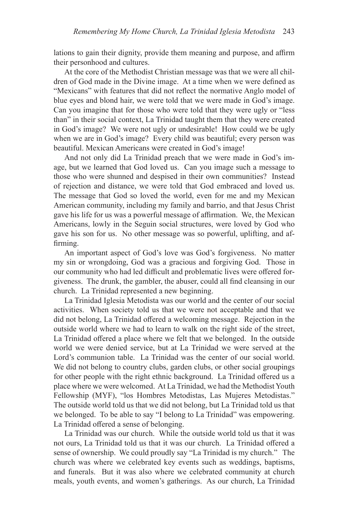lations to gain their dignity, provide them meaning and purpose, and affirm their personhood and cultures.

At the core of the Methodist Christian message was that we were all children of God made in the Divine image. At a time when we were defined as "Mexicans" with features that did not reflect the normative Anglo model of blue eyes and blond hair, we were told that we were made in God's image. Can you imagine that for those who were told that they were ugly or "less than" in their social context, La Trinidad taught them that they were created in God's image? We were not ugly or undesirable! How could we be ugly when we are in God's image? Every child was beautiful; every person was beautiful. Mexican Americans were created in God's image!

And not only did La Trinidad preach that we were made in God's image, but we learned that God loved us. Can you image such a message to those who were shunned and despised in their own communities? Instead of rejection and distance, we were told that God embraced and loved us. The message that God so loved the world, even for me and my Mexican American community, including my family and barrio, and that Jesus Christ gave his life for us was a powerful message of affirmation. We, the Mexican Americans, lowly in the Seguin social structures, were loved by God who gave his son for us. No other message was so powerful, uplifting, and affirming.

An important aspect of God's love was God's forgiveness. No matter my sin or wrongdoing, God was a gracious and forgiving God. Those in our community who had led difficult and problematic lives were offered forgiveness. The drunk, the gambler, the abuser, could all find cleansing in our church. La Trinidad represented a new beginning.

La Trinidad Iglesia Metodista was our world and the center of our social activities. When society told us that we were not acceptable and that we did not belong, La Trinidad offered a welcoming message. Rejection in the outside world where we had to learn to walk on the right side of the street, La Trinidad offered a place where we felt that we belonged. In the outside world we were denied service, but at La Trinidad we were served at the Lord's communion table. La Trinidad was the center of our social world. We did not belong to country clubs, garden clubs, or other social groupings for other people with the right ethnic background. La Trinidad offered us a place where we were welcomed. At La Trinidad, we had the Methodist Youth Fellowship (MYF), "los Hombres Metodistas, Las Mujeres Metodistas." The outside world told us that we did not belong, but La Trinidad told us that we belonged. To be able to say "I belong to La Trinidad" was empowering. La Trinidad offered a sense of belonging.

La Trinidad was our church. While the outside world told us that it was not ours, La Trinidad told us that it was our church. La Trinidad offered a sense of ownership. We could proudly say "La Trinidad is my church." The church was where we celebrated key events such as weddings, baptisms, and funerals. But it was also where we celebrated community at church meals, youth events, and women's gatherings. As our church, La Trinidad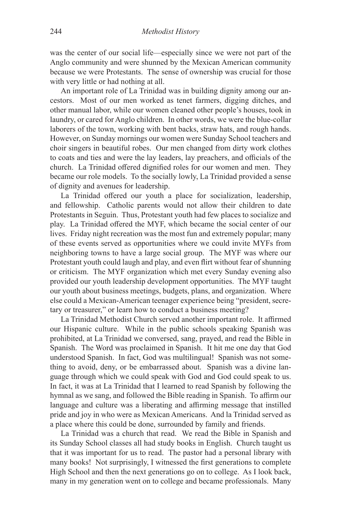was the center of our social life—especially since we were not part of the Anglo community and were shunned by the Mexican American community because we were Protestants. The sense of ownership was crucial for those with very little or had nothing at all.

An important role of La Trinidad was in building dignity among our ancestors. Most of our men worked as tenet farmers, digging ditches, and other manual labor, while our women cleaned other people's houses, took in laundry, or cared for Anglo children. In other words, we were the blue-collar laborers of the town, working with bent backs, straw hats, and rough hands. However, on Sunday mornings our women were Sunday School teachers and choir singers in beautiful robes. Our men changed from dirty work clothes to coats and ties and were the lay leaders, lay preachers, and officials of the church. La Trinidad offered dignified roles for our women and men. They became our role models. To the socially lowly, La Trinidad provided a sense of dignity and avenues for leadership.

La Trinidad offered our youth a place for socialization, leadership, and fellowship. Catholic parents would not allow their children to date Protestants in Seguin. Thus, Protestant youth had few places to socialize and play. La Trinidad offered the MYF, which became the social center of our lives. Friday night recreation was the most fun and extremely popular; many of these events served as opportunities where we could invite MYFs from neighboring towns to have a large social group. The MYF was where our Protestant youth could laugh and play, and even flirt without fear of shunning or criticism. The MYF organization which met every Sunday evening also provided our youth leadership development opportunities. The MYF taught our youth about business meetings, budgets, plans, and organization. Where else could a Mexican-American teenager experience being "president, secretary or treasurer," or learn how to conduct a business meeting?

La Trinidad Methodist Church served another important role. It affirmed our Hispanic culture. While in the public schools speaking Spanish was prohibited, at La Trinidad we conversed, sang, prayed, and read the Bible in Spanish. The Word was proclaimed in Spanish. It hit me one day that God understood Spanish. In fact, God was multilingual! Spanish was not something to avoid, deny, or be embarrassed about. Spanish was a divine language through which we could speak with God and God could speak to us. In fact, it was at La Trinidad that I learned to read Spanish by following the hymnal as we sang, and followed the Bible reading in Spanish. To affirm our language and culture was a liberating and affirming message that instilled pride and joy in who were as Mexican Americans. And la Trinidad served as a place where this could be done, surrounded by family and friends.

La Trinidad was a church that read. We read the Bible in Spanish and its Sunday School classes all had study books in English. Church taught us that it was important for us to read. The pastor had a personal library with many books! Not surprisingly, I witnessed the first generations to complete High School and then the next generations go on to college. As I look back, many in my generation went on to college and became professionals. Many